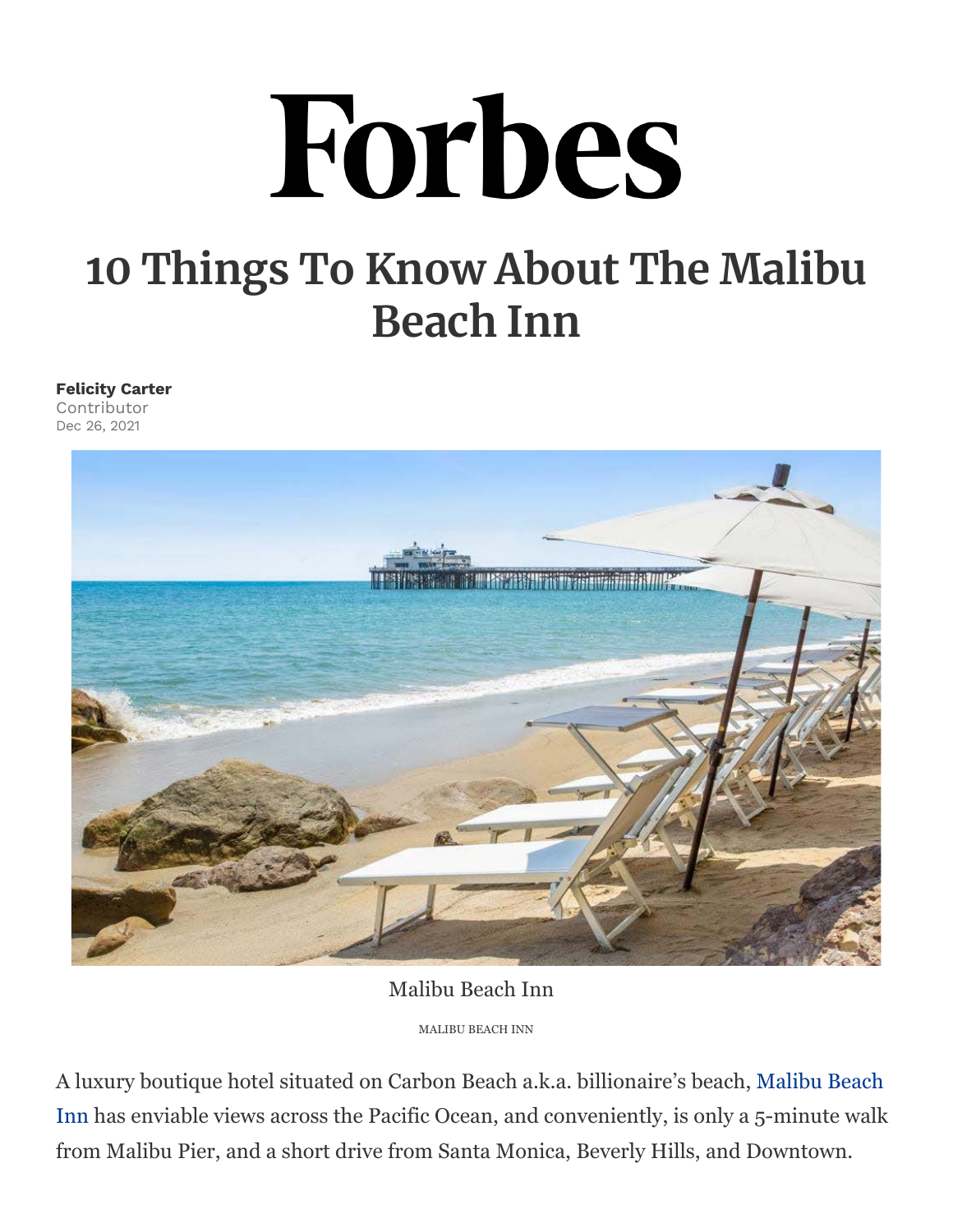## Forbes

## **10 Things To Know About The Malibu Beach Inn**

## **Felicity Carter**

Contributor Dec 26, 2021



Malibu Beach Inn

MALIBU BEACH INN

A luxury boutique hotel situated on Carbon Beach a.k.a. billionaire's beach, Malibu Beach Inn has enviable views across the Pacific Ocean, and conveniently, is only a 5-minute walk from Malibu Pier, and a short drive from Santa Monica, Beverly Hills, and Downtown.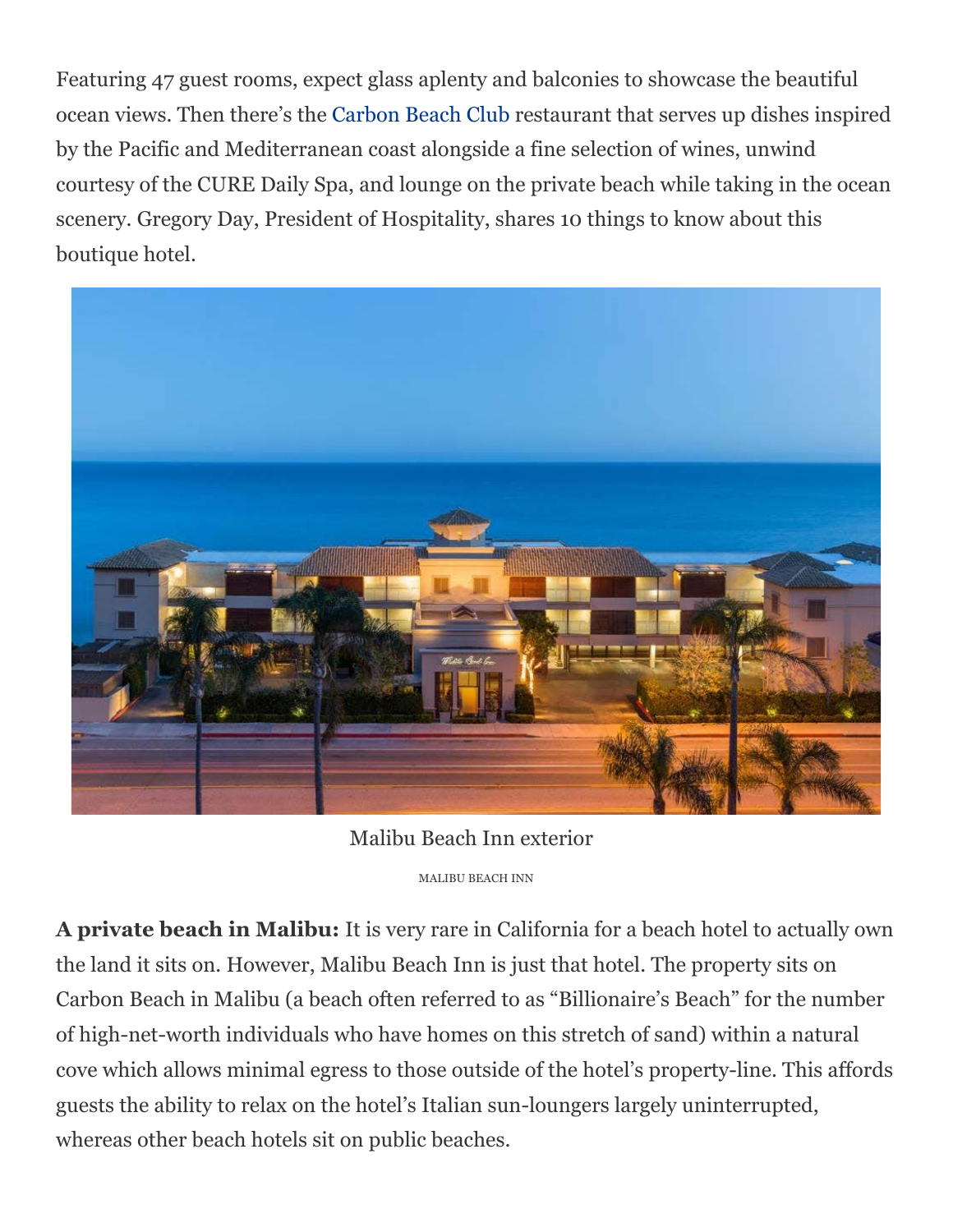Featuring 47 guest rooms, expect glass aplenty and balconies to showcase the beautiful ocean views. Then there's the Carbon Beach Club restaurant that serves up dishes inspired by the Pacific and Mediterranean coast alongside a fine selection of wines, unwind courtesy of the CURE Daily Spa, and lounge on the private beach while taking in the ocean scenery. Gregory Day, President of Hospitality, shares 10 things to know about this boutique hotel.



Malibu Beach Inn exterior MALIBU BEACH INN

**A private beach in Malibu:** It is very rare in California for a beach hotel to actually own the land it sits on. However, Malibu Beach Inn is just that hotel. The property sits on Carbon Beach in Malibu (a beach often referred to as "Billionaire's Beach" for the number of high-net-worth individuals who have homes on this stretch of sand) within a natural cove which allows minimal egress to those outside of the hotel's property-line. This affords guests the ability to relax on the hotel's Italian sun-loungers largely uninterrupted, whereas other beach hotels sit on public beaches.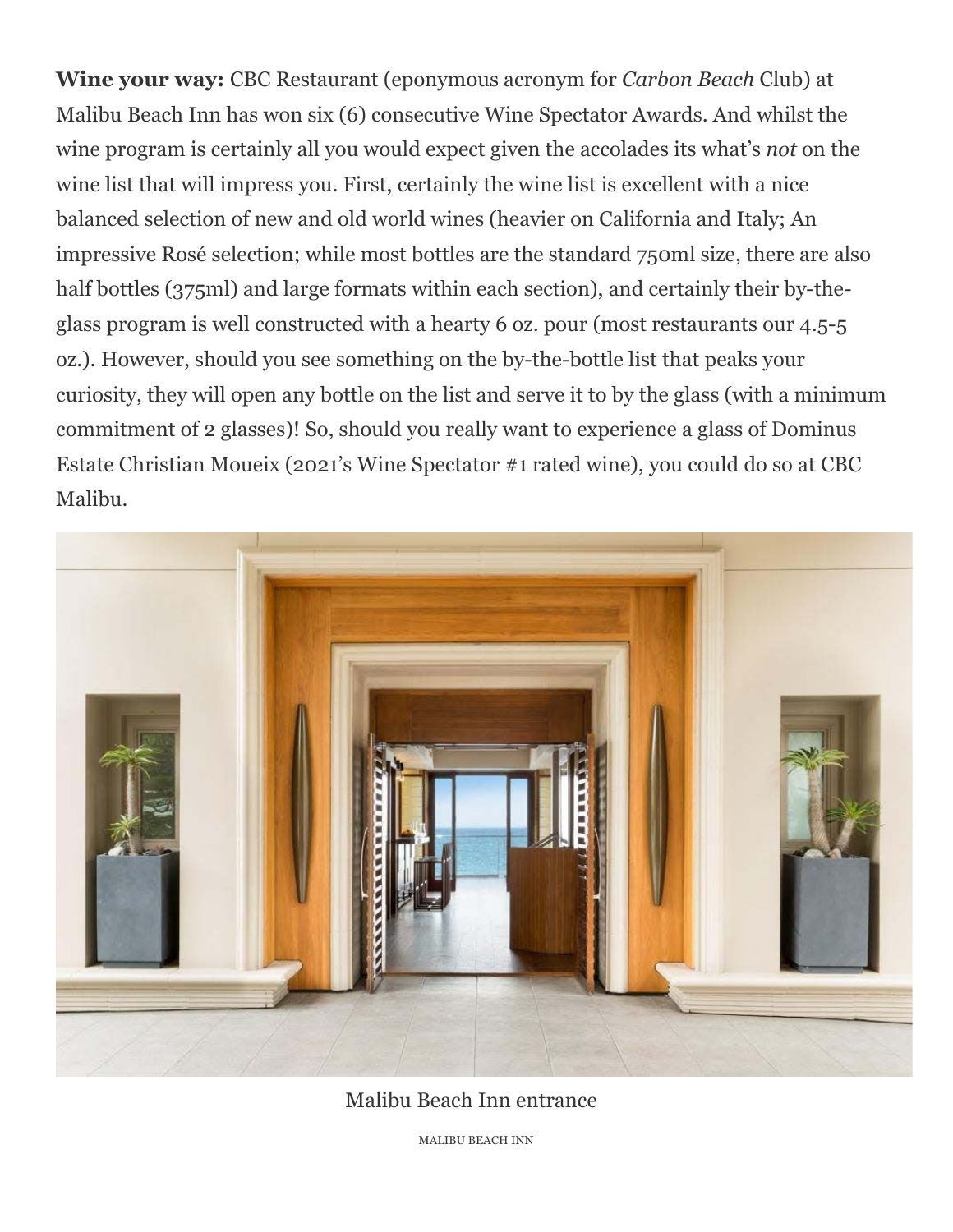**Wine your way:** CBC Restaurant (eponymous acronym for *Carbon Beach* Club) at Malibu Beach Inn has won six (6) consecutive Wine Spectator Awards. And whilst the wine program is certainly all you would expect given the accolades its what's *not* on the wine list that will impress you. First, certainly the wine list is excellent with a nice balanced selection of new and old world wines (heavier on California and Italy; An impressive Rosé selection; while most bottles are the standard 750ml size, there are also half bottles (375ml) and large formats within each section), and certainly their by-theglass program is well constructed with a hearty 6 oz. pour (most restaurants our 4.5-5 oz.). However, should you see something on the by-the-bottle list that peaks your curiosity, they will open any bottle on the list and serve it to by the glass (with a minimum commitment of 2 glasses)! So, should you really want to experience a glass of Dominus Estate Christian Moueix (2021's Wine Spectator #1 rated wine), you could do so at CBC Malibu.



Malibu Beach Inn entrance

MALIBU BEACH INN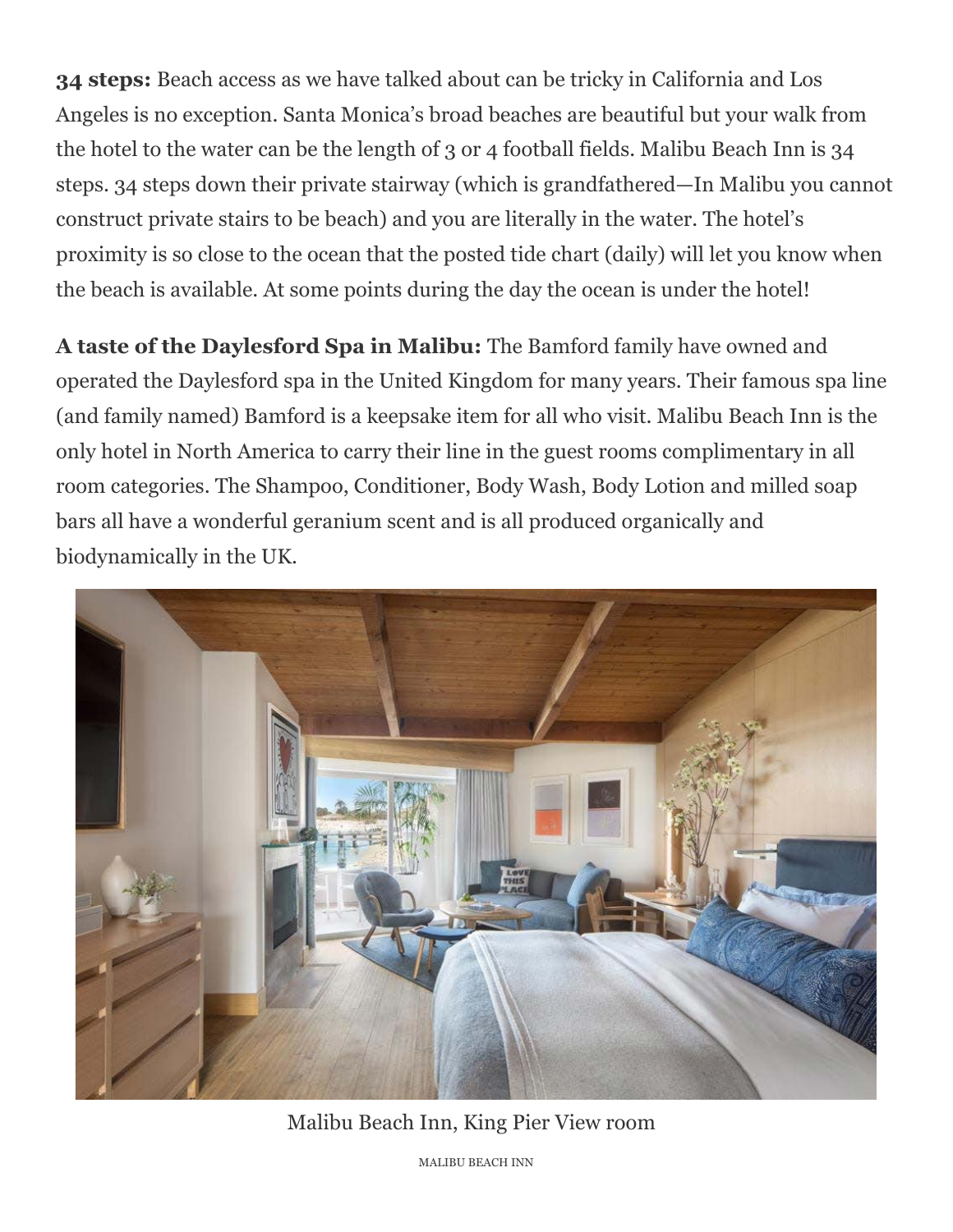**34 steps:** Beach access as we have talked about can be tricky in California and Los Angeles is no exception. Santa Monica's broad beaches are beautiful but your walk from the hotel to the water can be the length of 3 or 4 football fields. Malibu Beach Inn is 34 steps. 34 steps down their private stairway (which is grandfathered—In Malibu you cannot construct private stairs to be beach) and you are literally in the water. The hotel's proximity is so close to the ocean that the posted tide chart (daily) will let you know when the beach is available. At some points during the day the ocean is under the hotel!

**A taste of the Daylesford Spa in Malibu:** The Bamford family have owned and operated the Daylesford spa in the United Kingdom for many years. Their famous spa line (and family named) Bamford is a keepsake item for all who visit. Malibu Beach Inn is the only hotel in North America to carry their line in the guest rooms complimentary in all room categories. The Shampoo, Conditioner, Body Wash, Body Lotion and milled soap bars all have a wonderful geranium scent and is all produced organically and biodynamically in the UK.



Malibu Beach Inn, King Pier View room

MALIBU BEACH INN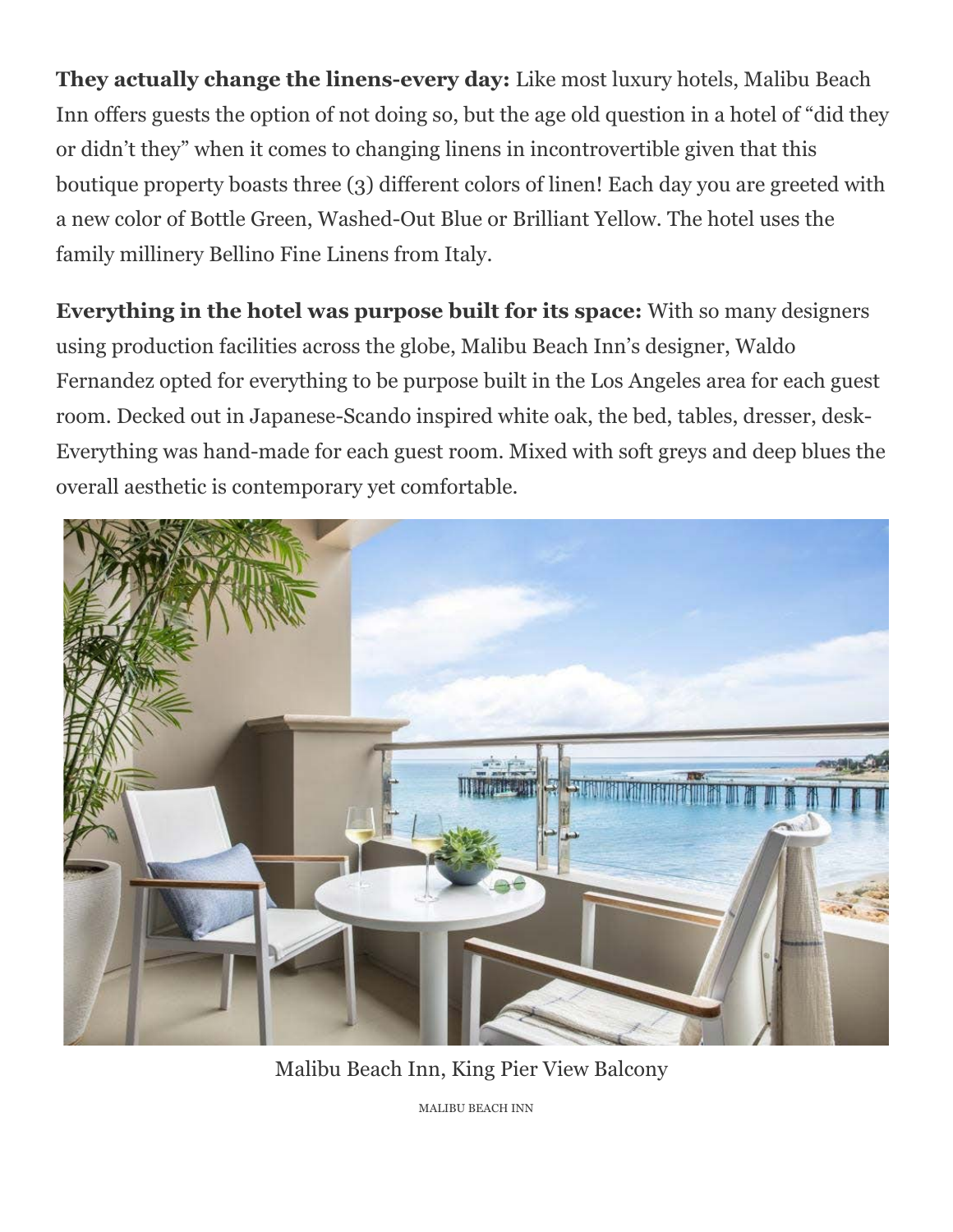**They actually change the linens-every day:** Like most luxury hotels, Malibu Beach Inn offers guests the option of not doing so, but the age old question in a hotel of "did they or didn't they" when it comes to changing linens in incontrovertible given that this boutique property boasts three (3) different colors of linen! Each day you are greeted with a new color of Bottle Green, Washed-Out Blue or Brilliant Yellow. The hotel uses the family millinery Bellino Fine Linens from Italy.

**Everything in the hotel was purpose built for its space:** With so many designers using production facilities across the globe, Malibu Beach Inn's designer, Waldo Fernandez opted for everything to be purpose built in the Los Angeles area for each guest room. Decked out in Japanese-Scando inspired white oak, the bed, tables, dresser, desk-Everything was hand-made for each guest room. Mixed with soft greys and deep blues the overall aesthetic is contemporary yet comfortable.



Malibu Beach Inn, King Pier View Balcony

MALIBU BEACH INN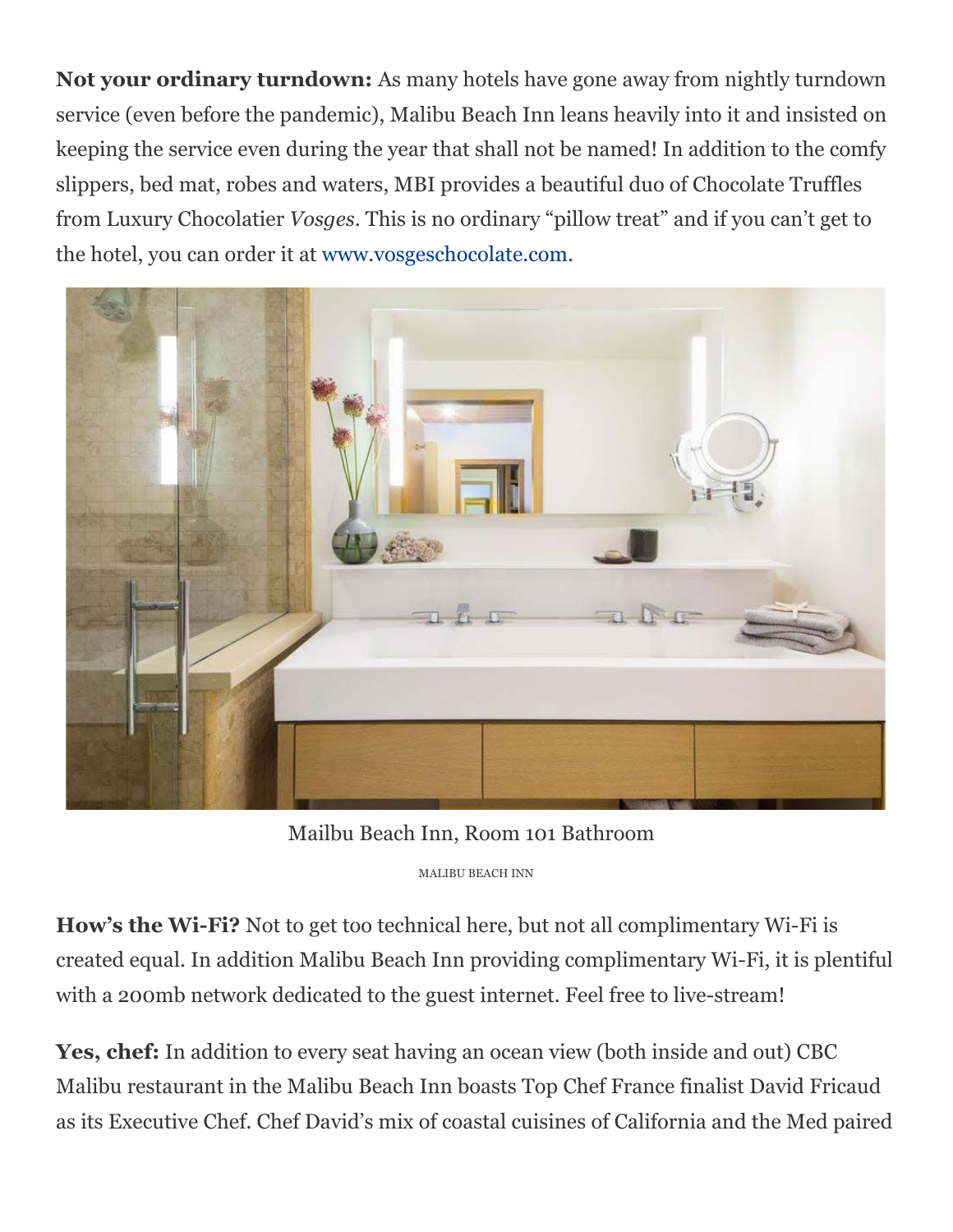**Not your ordinary turndown:** As many hotels have gone away from nightly turndown service (even before the pandemic), Malibu Beach Inn leans heavily into it and insisted on keeping the service even during the year that shall not be named! In addition to the comfy slippers, bed mat, robes and waters, MBI provides a beautiful duo of Chocolate Truffles from Luxury Chocolatier *Vosges*. This is no ordinary "pillow treat" and if you can't get to the hotel, you can order it at www.vosgeschocolate.com.



Mailbu Beach Inn, Room 101 Bathroom

MALIBU BEACH INN

**How's the Wi-Fi?** Not to get too technical here, but not all complimentary Wi-Fi is created equal. In addition Malibu Beach Inn providing complimentary Wi-Fi, it is plentiful with a 200mb network dedicated to the guest internet. Feel free to live-stream!

**Yes, chef:** In addition to every seat having an ocean view (both inside and out) CBC Malibu restaurant in the Malibu Beach Inn boasts Top Chef France finalist David Fricaud as its Executive Chef. Chef David's mix of coastal cuisines of California and the Med paired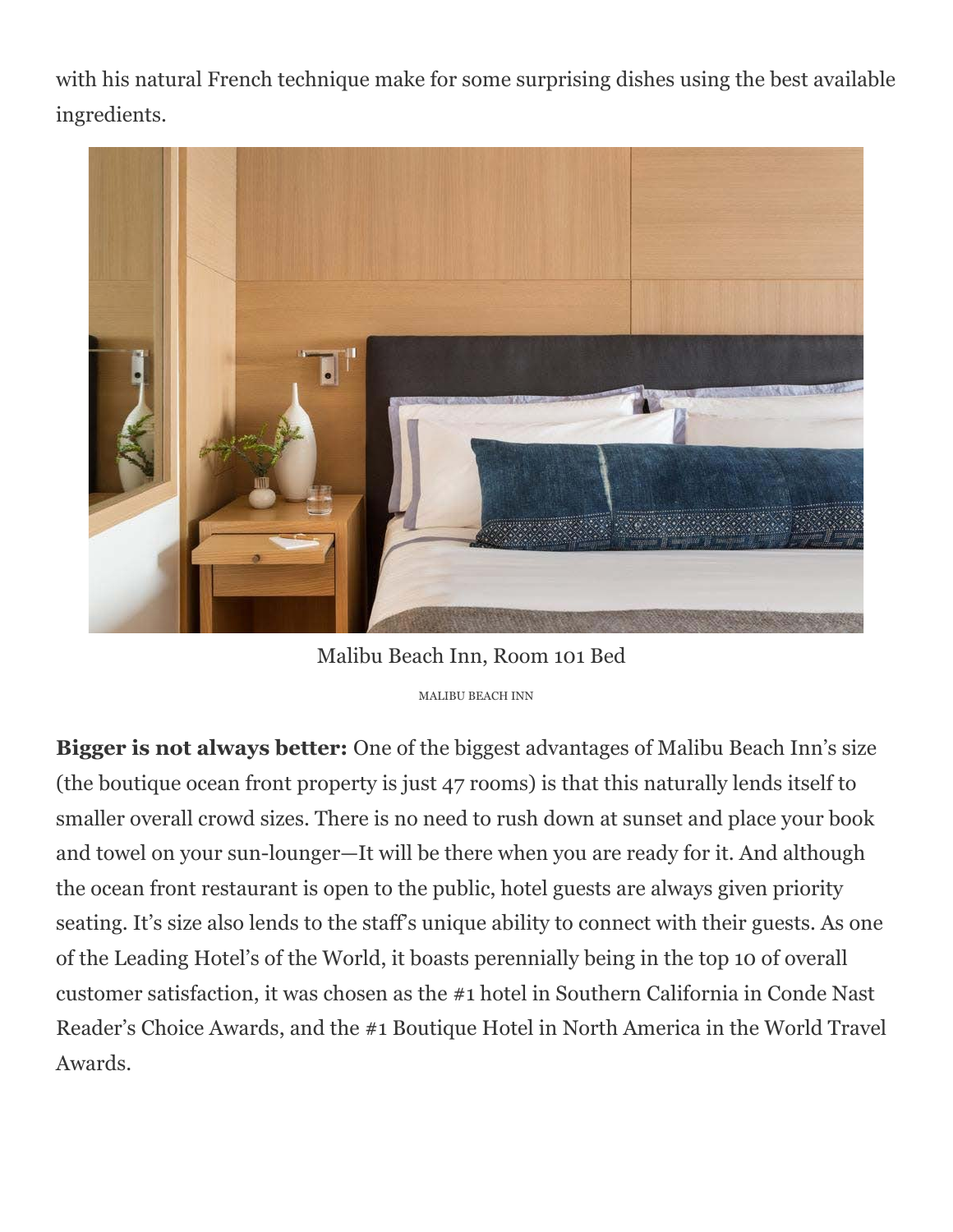with his natural French technique make for some surprising dishes using the best available ingredients.



Malibu Beach Inn, Room 101 Bed MALIBU BEACH INN

**Bigger is not always better:** One of the biggest advantages of Malibu Beach Inn's size (the boutique ocean front property is just 47 rooms) is that this naturally lends itself to smaller overall crowd sizes. There is no need to rush down at sunset and place your book and towel on your sun-lounger—It will be there when you are ready for it. And although the ocean front restaurant is open to the public, hotel guests are always given priority seating. It's size also lends to the staff's unique ability to connect with their guests. As one of the Leading Hotel's of the World, it boasts perennially being in the top 10 of overall customer satisfaction, it was chosen as the #1 hotel in Southern California in Conde Nast Reader's Choice Awards, and the #1 Boutique Hotel in North America in the World Travel Awards.